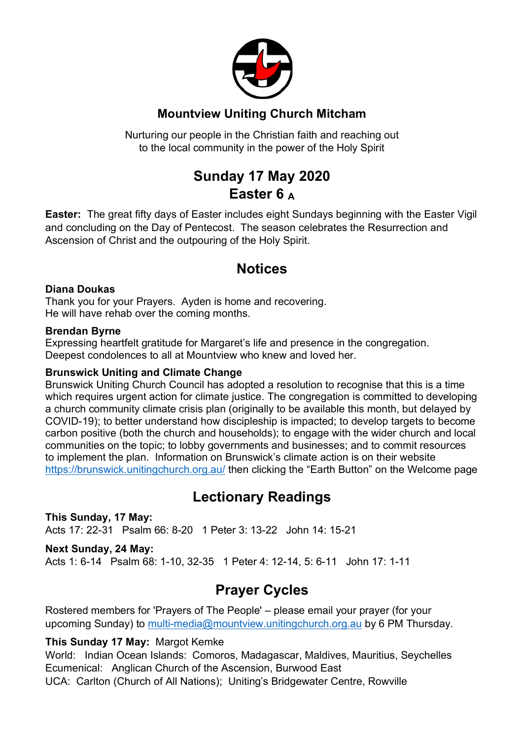

### **Mountview Uniting Church Mitcham**

Nurturing our people in the Christian faith and reaching out to the local community in the power of the Holy Spirit

# **Sunday 17 May 2020 Easter 6 <sup>A</sup>**

**Easter:** The great fifty days of Easter includes eight Sundays beginning with the Easter Vigil and concluding on the Day of Pentecost. The season celebrates the Resurrection and Ascension of Christ and the outpouring of the Holy Spirit.

## **Notices**

#### **Diana Doukas**

Thank you for your Prayers. Ayden is home and recovering. He will have rehab over the coming months.

#### **Brendan Byrne**

Expressing heartfelt gratitude for Margaret's life and presence in the congregation. Deepest condolences to all at Mountview who knew and loved her.

#### **Brunswick Uniting and Climate Change**

Brunswick Uniting Church Council has adopted a resolution to recognise that this is a time which requires urgent action for climate justice. The congregation is committed to developing a church community climate crisis plan (originally to be available this month, but delayed by COVID-19); to better understand how discipleship is impacted; to develop targets to become carbon positive (both the church and households); to engage with the wider church and local communities on the topic; to lobby governments and businesses; and to commit resources to implement the plan. Information on Brunswick's climate action is on their website https://brunswick.unitingchurch.org.au/ then clicking the "Earth Button" on the Welcome page

### **Lectionary Readings**

**This Sunday, 17 May:** Acts 17: 22-31 Psalm 66: 8-20 1 Peter 3: 13-22 John 14: 15-21

#### **Next Sunday, 24 May:**

Acts 1: 6-14 Psalm 68: 1-10, 32-35 1 Peter 4: 12-14, 5: 6-11 John 17: 1-11

### **Prayer Cycles**

Rostered members for 'Prayers of The People' – please email your prayer (for your upcoming Sunday) to multi-media@mountview.unitingchurch.org.au by 6 PM Thursday.

#### **This Sunday 17 May:** Margot Kemke

World: Indian Ocean Islands: Comoros, Madagascar, Maldives, Mauritius, Seychelles Ecumenical: Anglican Church of the Ascension, Burwood East UCA: Carlton (Church of All Nations); Uniting's Bridgewater Centre, Rowville